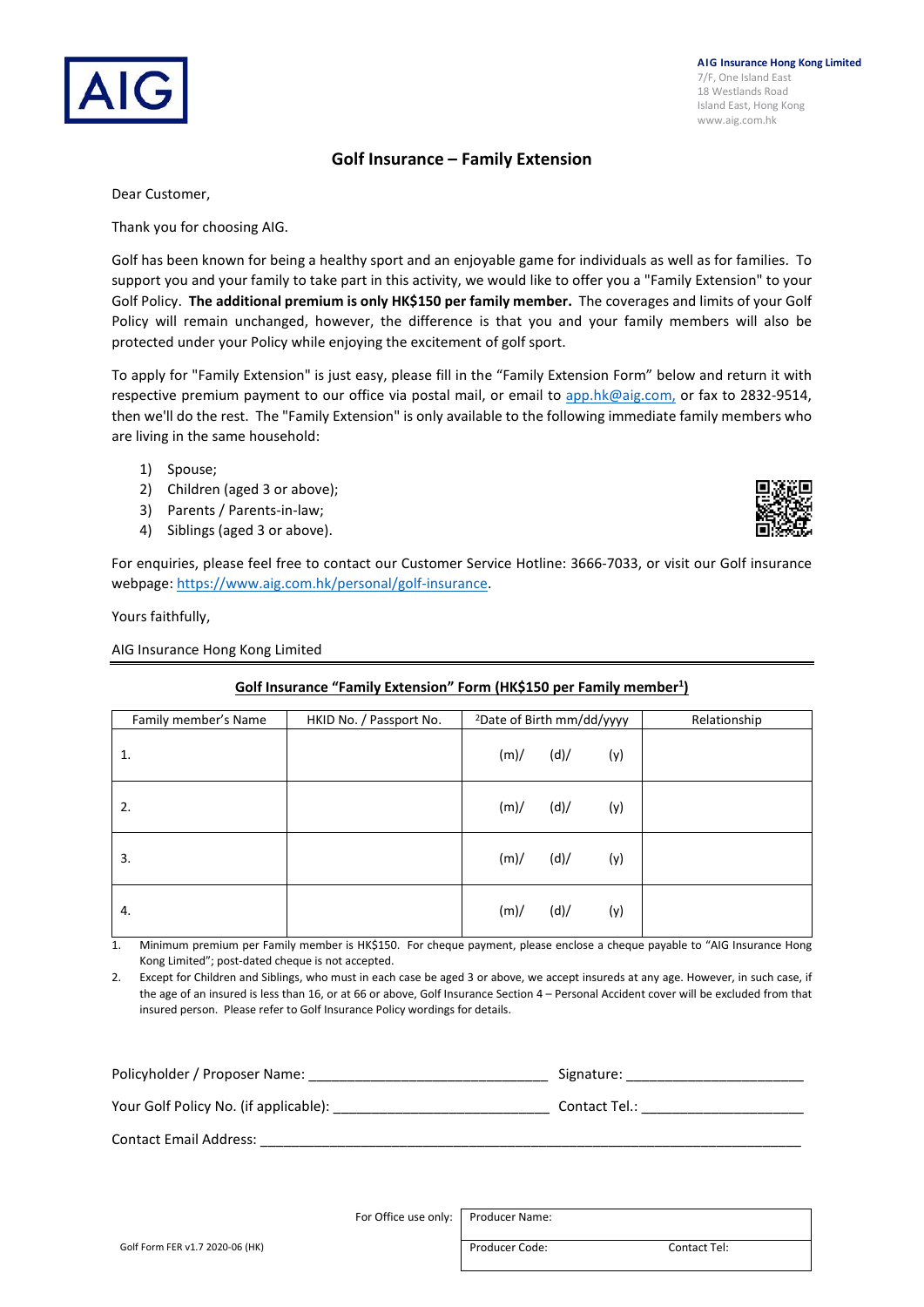### **Golf Insurance – Family Extension**

Dear Customer,

Thank you for choosing AIG.

Golf has been known for being a healthy sport and an enjoyable game for individuals as well as for families. To support you and your family to take part in this activity, we would like to offer you a "Family Extension" to your Golf Policy. **The additional premium is only HK\$150 per family member.** The coverages and limits of your Golf Policy will remain unchanged, however, the difference is that you and your family members will also be protected under your Policy while enjoying the excitement of golf sport.

To apply for "Family Extension" is just easy, please fill in the "Family Extension Form" below and return it with respective premium payment to our office via postal mail, or email to [app.hk@aig.com,](mailto:app.hk@aig.com) or fax to 2832-9514, then we'll do the rest. The "Family Extension" is only available to the following immediate family members who are living in the same household:

- 1) Spouse;
- 2) Children (aged 3 or above);
- 3) Parents / Parents-in-law;
- 4) Siblings (aged 3 or above).

For enquiries, please feel free to contact our Customer Service Hotline: 3666-7033, or visit our Golf insurance webpage: [https://www.aig.com.hk/personal/golf-insurance.](https://www.aig.com.hk/personal/golf-insurance) 

Yours faithfully,

AIG Insurance Hong Kong Limited

### **Golf Insurance "Family Extension" Form (HK\$150 per Family member1 )**

| Family member's Name | HKID No. / Passport No. | <sup>2</sup> Date of Birth mm/dd/yyyy |      |     | Relationship |
|----------------------|-------------------------|---------------------------------------|------|-----|--------------|
| 1.                   |                         | (m)/                                  | (d)/ | (y) |              |
| 2.                   |                         | (m)/                                  | (d)/ | (y) |              |
| 3.                   |                         | (m)/                                  | (d)/ | (y) |              |
| 4.                   |                         | (m)/                                  | (d)/ | (y) |              |

1. Minimum premium per Family member is HK\$150. For cheque payment, please enclose a cheque payable to "AIG Insurance Hong Kong Limited"; post-dated cheque is not accepted.

2. Except for Children and Siblings, who must in each case be aged 3 or above, we accept insureds at any age. However, in such case, if the age of an insured is less than 16, or at 66 or above, Golf Insurance Section 4 – Personal Accident cover will be excluded from that insured person. Please refer to Golf Insurance Policy wordings for details.

| Policyholder / Proposer Name:         | Signature:    |
|---------------------------------------|---------------|
| Your Golf Policy No. (if applicable): | Contact Tel.: |
| <b>Contact Email Address:</b>         |               |

For Office use only: Producer Name:

**AIG Insurance Hong Kong Limited** 7/F, One Island East 18 Westlands Road Island East, Hong Kong www.aig.com.hk